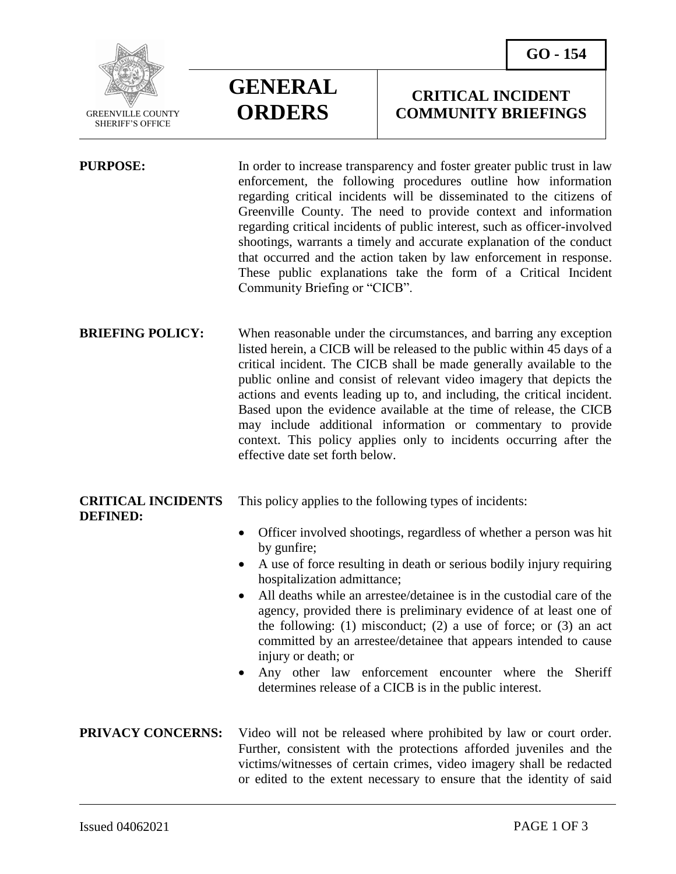

 $\overline{a}$ 

# **GENERAL ORDERS**

## **CRITICAL INCIDENT COMMUNITY BRIEFINGS**

**PURPOSE:** In order to increase transparency and foster greater public trust in law enforcement, the following procedures outline how information regarding critical incidents will be disseminated to the citizens of Greenville County. The need to provide context and information regarding critical incidents of public interest, such as officer-involved shootings, warrants a timely and accurate explanation of the conduct that occurred and the action taken by law enforcement in response. These public explanations take the form of a Critical Incident Community Briefing or "CICB".

**BRIEFING POLICY:** When reasonable under the circumstances, and barring any exception listed herein, a CICB will be released to the public within 45 days of a critical incident. The CICB shall be made generally available to the public online and consist of relevant video imagery that depicts the actions and events leading up to, and including, the critical incident. Based upon the evidence available at the time of release, the CICB may include additional information or commentary to provide context. This policy applies only to incidents occurring after the effective date set forth below.

### **CRITICAL INCIDENTS** This policy applies to the following types of incidents: **DEFINED:**

- Officer involved shootings, regardless of whether a person was hit by gunfire;
- A use of force resulting in death or serious bodily injury requiring hospitalization admittance;
- All deaths while an arrestee/detainee is in the custodial care of the agency, provided there is preliminary evidence of at least one of the following: (1) misconduct; (2) a use of force; or (3) an act committed by an arrestee/detainee that appears intended to cause injury or death; or
- Any other law enforcement encounter where the Sheriff determines release of a CICB is in the public interest.

**PRIVACY CONCERNS:** Video will not be released where prohibited by law or court order. Further, consistent with the protections afforded juveniles and the victims/witnesses of certain crimes, video imagery shall be redacted or edited to the extent necessary to ensure that the identity of said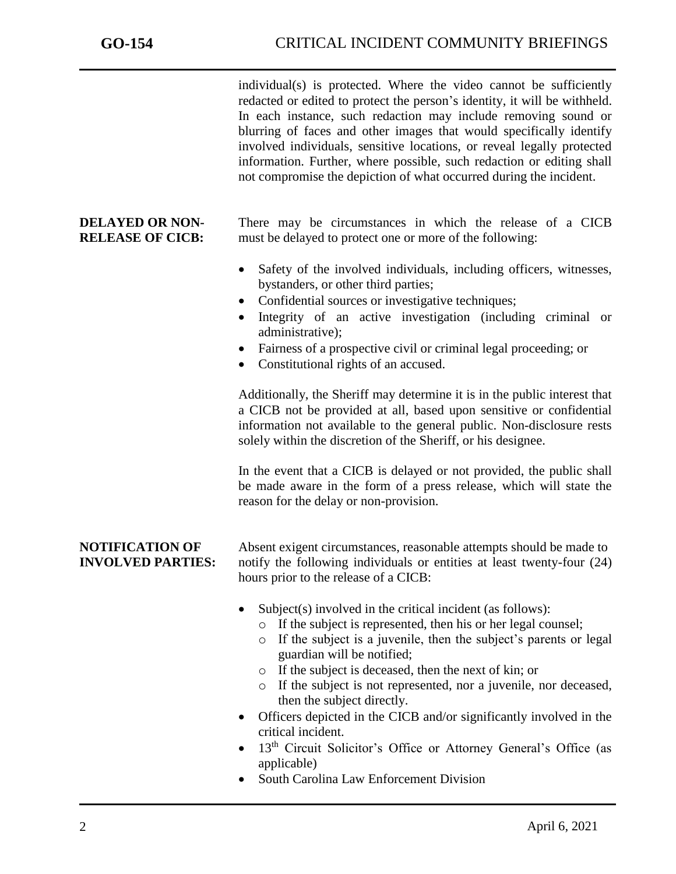j

individual(s) is protected. Where the video cannot be sufficiently redacted or edited to protect the person's identity, it will be withheld. In each instance, such redaction may include removing sound or blurring of faces and other images that would specifically identify involved individuals, sensitive locations, or reveal legally protected information. Further, where possible, such redaction or editing shall not compromise the depiction of what occurred during the incident.

**DELAYED OR NON-** There may be circumstances in which the release of a CICB **RELEASE OF CICB:** must be delayed to protect one or more of the following:

- Safety of the involved individuals, including officers, witnesses, bystanders, or other third parties;
- Confidential sources or investigative techniques;
- Integrity of an active investigation (including criminal or administrative);
- Fairness of a prospective civil or criminal legal proceeding; or
- Constitutional rights of an accused.

Additionally, the Sheriff may determine it is in the public interest that a CICB not be provided at all, based upon sensitive or confidential information not available to the general public. Non-disclosure rests solely within the discretion of the Sheriff, or his designee.

In the event that a CICB is delayed or not provided, the public shall be made aware in the form of a press release, which will state the reason for the delay or non-provision.

**NOTIFICATION OF** Absent exigent circumstances, reasonable attempts should be made to **INVOLVED PARTIES:** notify the following individuals or entities at least twenty-four (24) hours prior to the release of a CICB:

- Subject(s) involved in the critical incident (as follows):
	- o If the subject is represented, then his or her legal counsel;
	- o If the subject is a juvenile, then the subject's parents or legal guardian will be notified;
	- o If the subject is deceased, then the next of kin; or
	- o If the subject is not represented, nor a juvenile, nor deceased, then the subject directly.
- Officers depicted in the CICB and/or significantly involved in the critical incident.
- 13<sup>th</sup> Circuit Solicitor's Office or Attorney General's Office (as applicable)
- South Carolina Law Enforcement Division